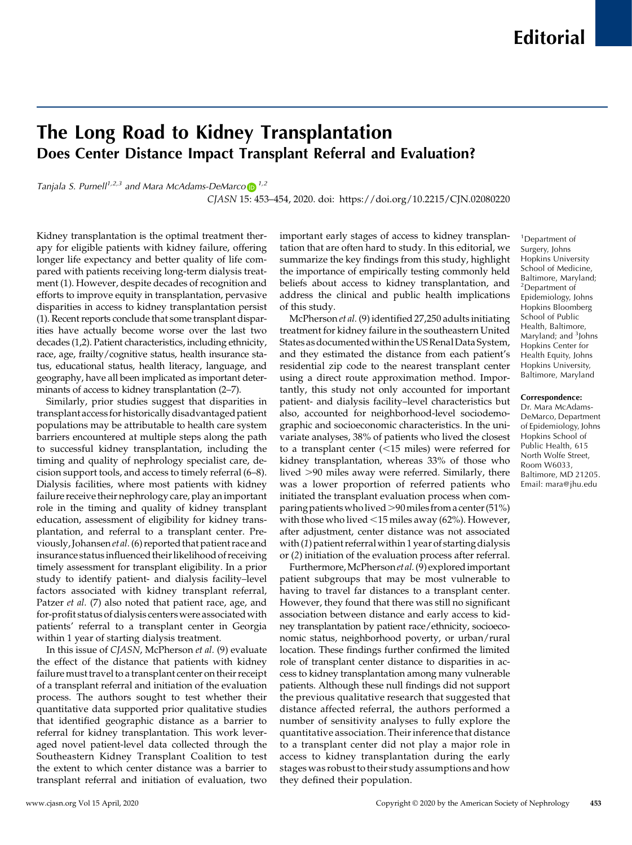# The Long Road to Kidney Transplantation Does Center Distance Impact Transplant Referral and Evaluation?

Tanjala S. Purnell<sup>1,2,3</sup> and Mara McAdams-DeMarc[o](https://orcid.org/0000-0003-3013-925X)  $\mathbb{D}^{1,2}$ 

CJASN 15: 453–454, 2020. doi:<https://doi.org/10.2215/CJN.02080220>

Kidney transplantation is the optimal treatment therapy for eligible patients with kidney failure, offering longer life expectancy and better quality of life compared with patients receiving long-term dialysis treatment (1). However, despite decades of recognition and efforts to improve equity in transplantation, pervasive disparities in access to kidney transplantation persist (1). Recent reports conclude that some transplant disparities have actually become worse over the last two decades (1,2). Patient characteristics, including ethnicity, race, age, frailty/cognitive status, health insurance status, educational status, health literacy, language, and geography, have all been implicated as important determinants of access to kidney transplantation (2–7).

Similarly, prior studies suggest that disparities in transplant access for historically disadvantaged patient populations may be attributable to health care system barriers encountered at multiple steps along the path to successful kidney transplantation, including the timing and quality of nephrology specialist care, decision support tools, and access to timely referral (6–8). Dialysis facilities, where most patients with kidney failure receive their nephrology care, play an important role in the timing and quality of kidney transplant education, assessment of eligibility for kidney transplantation, and referral to a transplant center. Previously, Johansen et al.(6) reported that patient race and insurance status influenced their likelihood of receiving timely assessment for transplant eligibility. In a prior study to identify patient- and dialysis facility–level factors associated with kidney transplant referral, Patzer et al. (7) also noted that patient race, age, and for-profit status of dialysis centers were associated with patients' referral to a transplant center in Georgia within 1 year of starting dialysis treatment.

In this issue of CJASN, McPherson et al. (9) evaluate the effect of the distance that patients with kidney failure must travel to a transplant center on their receipt of a transplant referral and initiation of the evaluation process. The authors sought to test whether their quantitative data supported prior qualitative studies that identified geographic distance as a barrier to referral for kidney transplantation. This work leveraged novel patient-level data collected through the Southeastern Kidney Transplant Coalition to test the extent to which center distance was a barrier to transplant referral and initiation of evaluation, two

important early stages of access to kidney transplantation that are often hard to study. In this editorial, we summarize the key findings from this study, highlight the importance of empirically testing commonly held beliefs about access to kidney transplantation, and address the clinical and public health implications of this study.

McPherson et al. (9) identified 27,250 adults initiating treatment for kidney failure in the southeastern United States as documented within the US Renal Data System, and they estimated the distance from each patient's residential zip code to the nearest transplant center using a direct route approximation method. Importantly, this study not only accounted for important patient- and dialysis facility–level characteristics but also, accounted for neighborhood-level sociodemographic and socioeconomic characteristics. In the univariate analyses, 38% of patients who lived the closest to a transplant center  $(<15$  miles) were referred for kidney transplantation, whereas 33% of those who lived  $>90$  miles away were referred. Similarly, there was a lower proportion of referred patients who initiated the transplant evaluation process when comparing patients who lived  $>90$  miles from a center (51%) with those who lived  $<$ 15 miles away (62%). However, after adjustment, center distance was not associated with (1) patient referral within 1 year of starting dialysis or (2) initiation of the evaluation process after referral.

Furthermore, McPherson et al. (9) explored important patient subgroups that may be most vulnerable to having to travel far distances to a transplant center. However, they found that there was still no significant association between distance and early access to kidney transplantation by patient race/ethnicity, socioeconomic status, neighborhood poverty, or urban/rural location. These findings further confirmed the limited role of transplant center distance to disparities in access to kidney transplantation among many vulnerable patients. Although these null findings did not support the previous qualitative research that suggested that distance affected referral, the authors performed a number of sensitivity analyses to fully explore the quantitative association. Their inference that distance to a transplant center did not play a major role in access to kidney transplantation during the early stageswas robust to their study assumptions and how they defined their population.

<sup>1</sup>Department of Surgery, Johns Hopkins University School of Medicine, Baltimore, Maryland; <sup>2</sup>Department of Epidemiology, Johns Hopkins Bloomberg School of Public Health, Baltimore, Maryland; and <sup>3</sup>Johns Hopkins Center for Health Equity, Johns Hopkins University, Baltimore, Maryland

#### Correspondence:

Dr. Mara McAdams-DeMarco, Department of Epidemiology, Johns Hopkins School of Public Health, 615 North Wolfe Street, Room W6033, Baltimore, MD 21205. Email: [mara@jhu.edu](mailto:mara@jhu.edu)